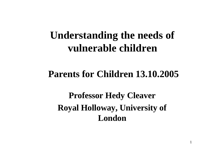# **Understanding the needs of vulnerable children**

#### **Parents for Children 13.10.2005**

**Professor Hedy Cleaver Royal Holloway, University of London**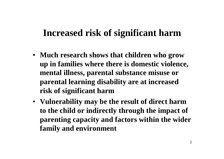### **Increased risk of significant harm**

- **Much research shows that children who grow up in families where there is domestic violence, mental illness, parental substance misuse or parental learning disability are at increased risk of significant harm**
- **Vulnerability may be the result of direct harm to the child or indirectly through the impact of parenting capacity and factors within the wider family and environment**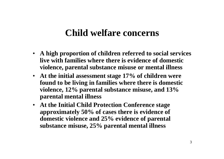#### **Child welfare concerns**

- **A high proportion of children referred to social services live with families where there is evidence of domestic violence, parental substance misuse or mental illness**
- **At the initial assessment stage 17% of children were found to be living in families where there is domestic violence, 12% parental substance misuse, and 13% parental mental illness**
- **At the Initial Child Protection Conference stage approximately 50% of cases there is evidence of domestic violence and 25% evidence of parental substance misuse, 25% parental mental illness**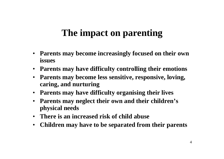#### **The impact on parenting**

- **Parents may become increasingly focused on their own issues**
- **Parents may have difficulty controlling their emotions**
- **Parents may become less sensitive, responsive, loving, caring, and nurturing**
- **Parents may have difficulty organising their lives**
- **Parents may neglect their own and their children's physical needs**
- **There is an increased risk of child abuse**
- **Children may have to be separated from their parents**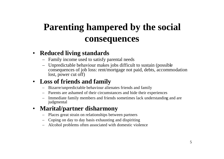# **Parenting hampered by the social consequences**

#### • **Reduced living standards**

- Family income used to satisfy parental needs
- Unpredictable behaviour makes jobs difficult to sustain (possible consequences of job loss: rent/mortgage not paid, debts, accommodation lost, power cut off)

#### • **Loss of friends and family**

- Bizarre/unpredictable behaviour alienates friends and family
- Parents are ashamed of their circumstances and hide their experiences
- Immediate family members and friends sometimes lack understanding and are judgmental

#### • **Marital/partner disharmony**

- Places great strain on relationships between partners
- Coping on day to day basis exhausting and dispiriting
- Alcohol problems often associated with domestic violence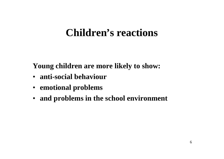# **Children's reactions**

**Young children are more likely to show:**

- **anti-social behaviour**
- **emotional problems**
- **and problems in the school environment**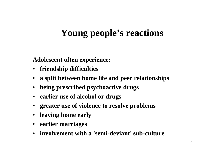# **Young people's reactions**

**Adolescent often experience:**

- **friendship difficulties**
- **a split between home life and peer relationships**
- **being prescribed psychoactive drugs**
- **earlier use of alcohol or drugs**
- **greater use of violence to resolve problems**
- **leaving home early**
- **earlier marriages**
- **involvement with a 'semi-deviant' sub-culture**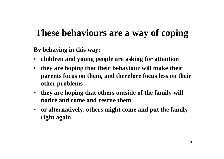# **These behaviours are a way of coping**

**By behaving in this way:**

- **children and young people are asking for attention**
- **they are hoping that their behaviour will make their parents focus on them, and therefore focus less on their other problems**
- **they are hoping that others outside of the family will notice and come and rescue them**
- **or alternatively, others might come and put the family right again**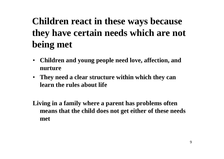# **Children react in these ways because they have certain needs which are not being met**

- **Children and young people need love, affection, and nurture**
- **They need a clear structure within which they can learn the rules about life**

**Living in a family where a parent has problems often means that the child does not get either of these needs met**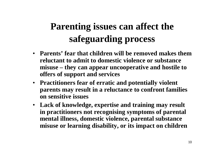# **Parenting issues can affect the safeguarding process**

- **Parents' fear that children will be removed makes them reluctant to admit to domestic violence or substance misuse – they can appear uncooperative and hostile to offers of support and services**
- **Practitioners fear of erratic and potentially violent parents may result in a reluctance to confront families on sensitive issues**
- **Lack of knowledge, expertise and training may result in practitioners not recognising symptoms of parental mental illness, domestic violence, parental substance misuse or learning disability, or its impact on children**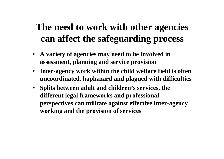# **The need to work with other agencies can affect the safeguarding process**

- **A variety of agencies may need to be involved in assessment, planning and service provision**
- **Inter-agency work within the child welfare field is often uncoordinated, haphazard and plagued with difficulties**
- **Splits between adult and children's services, the different legal frameworks and professional perspectives can militate against effective inter-agency working and the provision of services**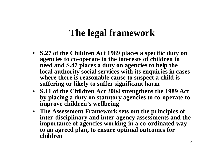### **The legal framework**

- **S.27 of the Children Act 1989 places a specific duty on agencies to co-operate in the interests of children in need and S.47 places a duty on agencies to help the local authority social services with its enquiries in cases where there is reasonable cause to suspect a child is suffering or likely to suffer significant harm**
- **S.11 of the Children Act 2004 strengthens the 1989 Act by placing a duty on statutory agencies to co-operate to improve children's wellbeing**
- **The Assessment Framework sets out the principles of inter-disciplinary and inter-agency assessments and the importance of agencies working in a co-ordinated way to an agreed plan, to ensure optimal outcomes for children**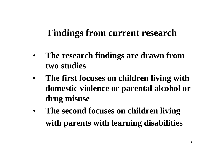#### **Findings from current research**

- **The research findings are drawn from two studies**
- **The first focuses on children living with domestic violence or parental alcohol or drug misuse**
- **The second focuses on children living with parents with learning disabilities**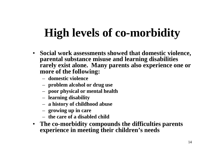# **High levels of co-morbidity**

- **Social work assessments showed that domestic violence, parental substance misuse and learning disabilities rarely exist alone. Many parents also experience one or more of the following:**
	- **domestic violence**
	- **problem alcohol or drug use**
	- **poor physical or mental health**
	- **learning disability**
	- **a history of childhood abuse**
	- **growing up in care**
	- **the care of a disabled child**
- **The co-morbidity compounds the difficulties parents experience in meeting their children's needs**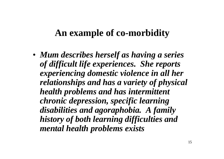#### **An example of co-morbidity**

• *Mum describes herself as having a series of difficult life experiences. She reports experiencing domestic violence in all her relationships and has a variety of physical health problems and has intermittent chronic depression, specific learning disabilities and agoraphobia. A family history of both learning difficulties and mental health problems exists*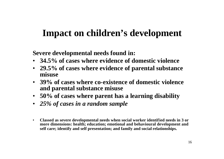### **Impact on children's development**

**Severe developmental needs found in:**

- **34.5% of cases where evidence of domestic violence**
- **29.5% of cases where evidence of parental substance misuse**
- **39% of cases where co-existence of domestic violence and parental substance misuse**
- **50% of cases where parent has a learning disability**
- *25% of cases in a random sample*
- **Classed as severe developmental needs when social worker identified needs in 3 or more dimensions: health; education; emotional and behavioural development and self care; identify and self presentation; and family and social relationships.**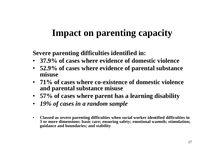### **Impact on parenting capacity**

**Severe parenting difficulties identified in:**

- **37.9% of cases where evidence of domestic violence**
- **52.9% of cases where evidence of parental substance misuse**
- **71% of cases where co-existence of domestic violence and parental substance misuse**
- **57% of cases where parent has a learning disability**
- *19% of cases in a random sample*
- **Classed as severe parenting difficulties when social worker identified difficulties in 3 or more dimensions: basic care; ensuring safety; emotional warmth; stimulation; guidance and boundaries; and stability**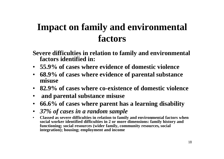# **Impact on family and environmental factors**

**Severe difficulties in relation to family and environmental factors identified in:**

- **55.9% of cases where evidence of domestic violence**
- **68.9% of cases where evidence of parental substance misuse**
- **82.9% of cases where co-existence of domestic violence**
- **and parental substance misuse**
- **66.6% of cases where parent has a learning disability**
- *37% of cases in a random sample*
- **Classed as severe difficulties in relation to family and environmental factors when social worker identified difficulties in 2 or more dimensions: family history and functioning; social resources (wider family, community resources, social integration); housing; employment and income**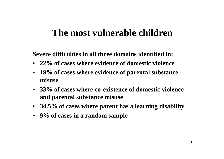#### **The most vulnerable children**

**Severe difficulties in all three domains identified in:**

- **22% of cases where evidence of domestic violence**
- **19% of cases where evidence of parental substance misuse**
- **33% of cases where co-existence of domestic violence and parental substance misuse**
- **34.5% of cases where parent has a learning disability**
- **9% of cases in a random sample**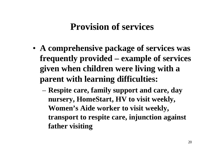#### **Provision of services**

- **A comprehensive package of services was frequently provided – example of services given when children were living with a parent with learning difficulties:**
	- **Respite care, family support and care, day nursery, HomeStart, HV to visit weekly, Women's Aide worker to visit weekly, transport to respite care, injunction against father visiting**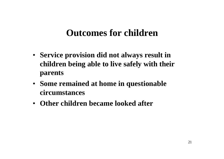#### **Outcomes for children**

- **Service provision did not always result in children being able to live safely with their parents**
- **Some remained at home in questionable circumstances**
- **Other children became looked after**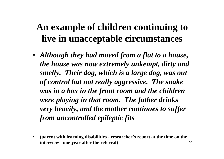### **An example of children continuing to live in unacceptable circumstances**

- *Although they had moved from a flat to a house, the house was now extremely unkempt, dirty and smelly. Their dog, which is a large dog, was out of control but not really aggressive. The snake was in a box in the front room and the children were playing in that room. The father drinks very heavily, and the mother continues to suffer from uncontrolled epileptic fits*
- **(parent with learning disabilities - researcher's report at the time on the interview - one year after the referral)**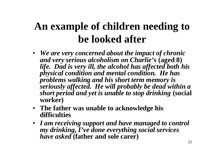# **An example of children needing to be looked after**

- *We are very concerned about the impact of chronic and very serious alcoholism on Charlie's* **(aged 8)** *life. Dad is very ill, the alcohol has affected both his physical condition and mental condition. He has problems walking and his short term memory is seriously affected. He will probably be dead within a short period and yet is unable to stop drinking* **(social worker)**
- **The father was unable to acknowledge his difficulties**
- *I am receiving support and have managed to control my drinking, I've done everything social services have asked* **(father and sole carer)**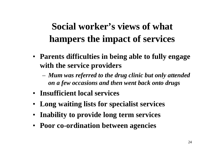# **Social worker's views of what hampers the impact of services**

- **Parents difficulties in being able to fully engage with the service providers**
	- *Mum was referred to the drug clinic but only attended on a few occasions and then went back onto drugs*
- **Insufficient local services**
- **Long waiting lists for specialist services**
- **Inability to provide long term services**
- **Poor co-ordination between agencies**